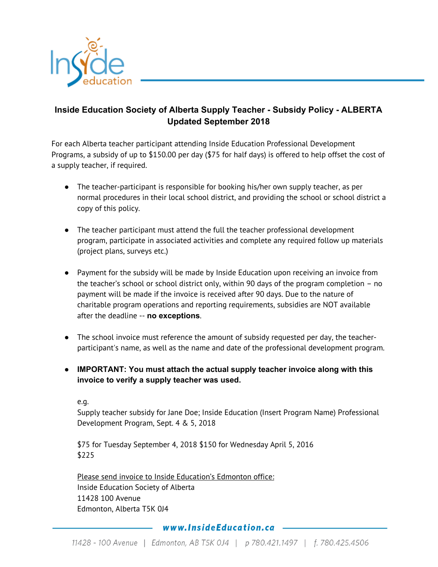

## **Inside Education Society of Alberta Supply Teacher - Subsidy Policy - ALBERTA Updated September 2018**

For each Alberta teacher participant attending Inside Education Professional Development Programs, a subsidy of up to \$150.00 per day (\$75 for half days) is offered to help offset the cost of a supply teacher, if required.

- The teacher-participant is responsible for booking his/her own supply teacher, as per normal procedures in their local school district, and providing the school or school district a copy of this policy.
- The teacher participant must attend the full the teacher professional development program, participate in associated activities and complete any required follow up materials (project plans, surveys etc.)
- Payment for the subsidy will be made by Inside Education upon receiving an invoice from the teacher's school or school district only, within 90 days of the program completion – no payment will be made if the invoice is received after 90 days. Due to the nature of charitable program operations and reporting requirements, subsidies are NOT available after the deadline -- **no exceptions**.
- The school invoice must reference the amount of subsidy requested per day, the teacherparticipant's name, as well as the name and date of the professional development program.
- **IMPORTANT: You must attach the actual supply teacher invoice along with this invoice to verify a supply teacher was used.**

e.g.

Supply teacher subsidy for Jane Doe; Inside Education (Insert Program Name) Professional Development Program, Sept. 4 & 5, 2018

\$75 for Tuesday September 4, 2018 \$150 for Wednesday April 5, 2016 \$225

Please send invoice to Inside Education's Edmonton office: Inside Education Society of Alberta 11428 100 Avenue Edmonton, Alberta T5K 0J4

## www.InsideEducation.ca